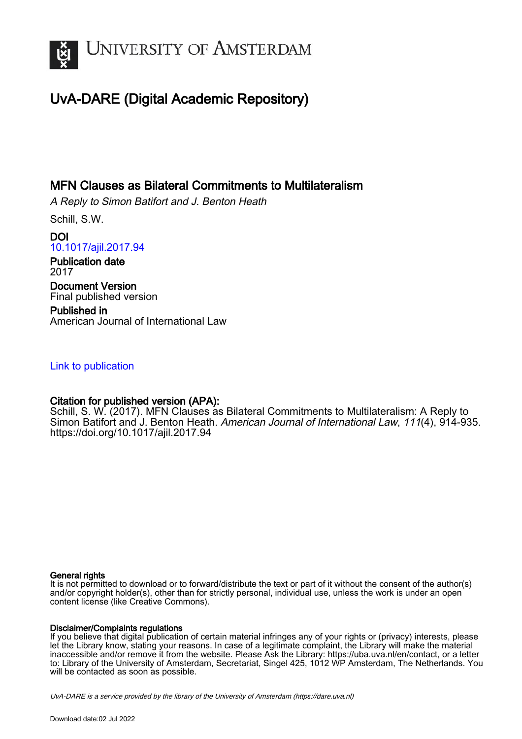

# UvA-DARE (Digital Academic Repository)

# MFN Clauses as Bilateral Commitments to Multilateralism

A Reply to Simon Batifort and J. Benton Heath

Schill, S.W.

DOI [10.1017/ajil.2017.94](https://doi.org/10.1017/ajil.2017.94)

Publication date 2017 Document Version

Final published version

Published in American Journal of International Law

## [Link to publication](https://dare.uva.nl/personal/pure/en/publications/mfn-clauses-as-bilateral-commitments-to-multilateralism(238c898e-fa52-42b4-8db7-21aaae9813d1).html)

## Citation for published version (APA):

Schill, S. W. (2017). MFN Clauses as Bilateral Commitments to Multilateralism: A Reply to Simon Batifort and J. Benton Heath. American Journal of International Law, 111(4), 914-935. <https://doi.org/10.1017/ajil.2017.94>

#### General rights

It is not permitted to download or to forward/distribute the text or part of it without the consent of the author(s) and/or copyright holder(s), other than for strictly personal, individual use, unless the work is under an open content license (like Creative Commons).

#### Disclaimer/Complaints regulations

If you believe that digital publication of certain material infringes any of your rights or (privacy) interests, please let the Library know, stating your reasons. In case of a legitimate complaint, the Library will make the material inaccessible and/or remove it from the website. Please Ask the Library: https://uba.uva.nl/en/contact, or a letter to: Library of the University of Amsterdam, Secretariat, Singel 425, 1012 WP Amsterdam, The Netherlands. You will be contacted as soon as possible.

UvA-DARE is a service provided by the library of the University of Amsterdam (http*s*://dare.uva.nl)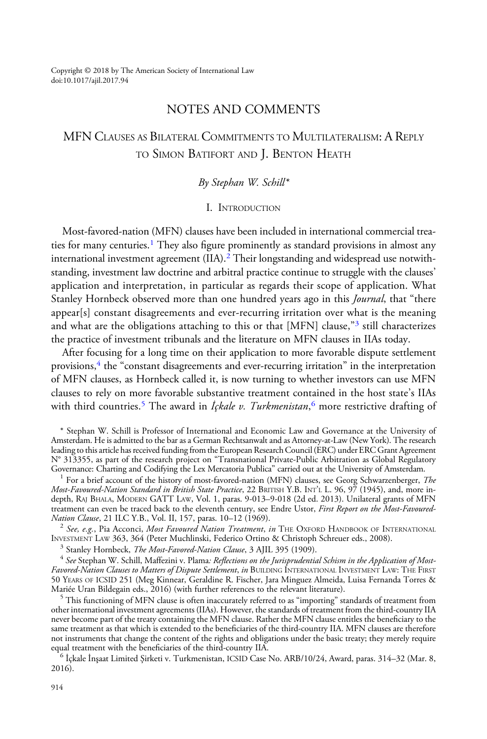Copyright © 2018 by The American Society of International Law doi:10.1017/ajil.2017.94

# NOTES AND COMMENTS

# MFN CLAUSES AS BILATERAL COMMITMENTS TO MULTILATERALISM: A REPLY TO SIMON BATIFORT AND J. BENTON HEATH

#### By Stephan W. Schill\*

#### I. INTRODUCTION

Most-favored-nation (MFN) clauses have been included in international commercial treaties for many centuries.<sup>1</sup> They also figure prominently as standard provisions in almost any international investment agreement  $(IIA)$ .<sup>2</sup> Their longstanding and widespread use notwithstanding, investment law doctrine and arbitral practice continue to struggle with the clauses' application and interpretation, in particular as regards their scope of application. What Stanley Hornbeck observed more than one hundred years ago in this *Journal*, that "there appear[s] constant disagreements and ever-recurring irritation over what is the meaning and what are the obligations attaching to this or that [MFN] clause," $3$  still characterizes the practice of investment tribunals and the literature on MFN clauses in IIAs today.

After focusing for a long time on their application to more favorable dispute settlement provisions,<sup>4</sup> the "constant disagreements and ever-recurring irritation" in the interpretation of MFN clauses, as Hornbeck called it, is now turning to whether investors can use MFN clauses to rely on more favorable substantive treatment contained in the host state's IIAs with third countries.<sup>5</sup> The award in *İçkale v. Turkmenistan*,<sup>6</sup> more restrictive drafting of

\* Stephan W. Schill is Professor of International and Economic Law and Governance at the University of Amsterdam. He is admitted to the bar as a German Rechtsanwalt and as Attorney-at-Law (New York). The research leading to this article has received funding from the European Research Council (ERC) under ERC Grant Agreement N° 313355, as part of the research project on "Transnational Private-Public Arbitration as Global Regulatory<br>Governance: Charting and Codifying the Lex Mercatoria Publica" carried out at the University of Amsterdam.

<sup>1</sup> For a brief account of the history of most-favored-nation (MFN) clauses, see Georg Schwarzenberger, *The* Most-Favoured-Nation Standard in British State Practice, 22 BRITISH Y.B. INT'<sup>L</sup> L. 96, 97 (1945), and, more indepth, RAJ BHALA, MODERN GATT LAW, Vol. 1, paras. 9-013–9-018 (2d ed. 2013). Unilateral grants of MFN treatment can even be traced back to the eleventh century, see Endre Ustor, First Report on the Most-Favoured-Nation Clause, 21 ILC Y.B., Vol. II, 157, paras. 10-12 (1969).

<sup>2</sup> See, e.g., Pia Acconci, *Most Favoured Nation Treatment*, *in* THE OXFORD HANDBOOK OF INTERNATIONAL INVESTMENT LAW 363, 364 (Peter Muchlinski, Federico Ortino & Christoph Schreuer eds., 2008).

<sup>3</sup> Stanley Hornbeck, *The Most-Favored-Nation Clause*, 3 AJIL 395 (1909).<br><sup>4</sup> See Stephan W. Schill, Maffezini v. Plama: *Reflections on the Jurisprudential Schism in the Application of Most-*Favored-Nation Clauses to Matters of Dispute Settlement, in BUILDING INTERNATIONAL INVESTMENT LAW: THE FIRST 50 YEARS OF ICSID 251 (Meg Kinnear, Geraldine R. Fischer, Jara Minguez Almeida, Luisa Fernanda Torres &<br>Mariée Uran Bildegain eds., 2016) (with further references to the relevant literature).

 $5$  This functioning of MFN clause is often inaccurately referred to as "importing" standards of treatment from other international investment agreements (IIAs). However, the standards of treatment from the third-country IIA never become part of the treaty containing the MFN clause. Rather the MFN clause entitles the beneficiary to the same treatment as that which is extended to the beneficiaries of the third-country IIA. MFN clauses are therefore not instruments that change the content of the rights and obligations under the basic treaty; they merely require

 $^6$  İçkale İnşaat Limited Şirketi v. Turkmenistan, ICSID Case No. ARB/10/24, Award, paras. 314–32 (Mar. 8, 2016).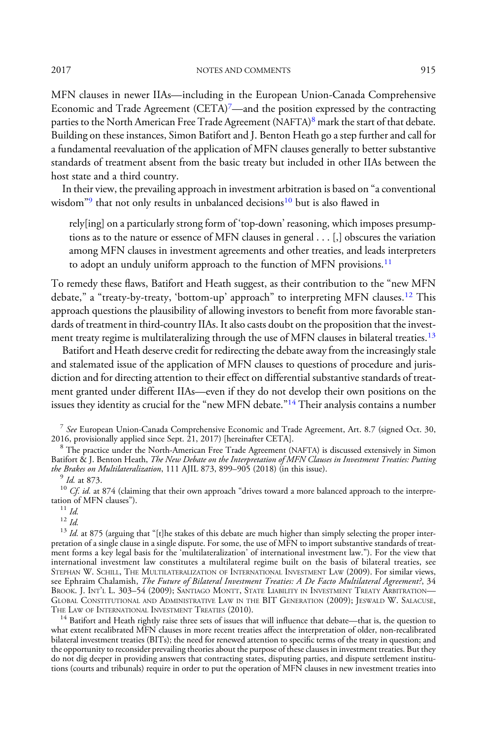MFN clauses in newer IIAs—including in the European Union-Canada Comprehensive Economic and Trade Agreement (CETA)7—and the position expressed by the contracting parties to the North American Free Trade Agreement (NAFTA)<sup>8</sup> mark the start of that debate. Building on these instances, Simon Batifort and J. Benton Heath go a step further and call for a fundamental reevaluation of the application of MFN clauses generally to better substantive standards of treatment absent from the basic treaty but included in other IIAs between the host state and a third country.

In their view, the prevailing approach in investment arbitration is based on "a conventional wisdom"<sup>9</sup> that not only results in unbalanced decisions<sup>10</sup> but is also flawed in

rely[ing] on a particularly strong form of 'top-down' reasoning, which imposes presumptions as to the nature or essence of MFN clauses in general . . . [,] obscures the variation among MFN clauses in investment agreements and other treaties, and leads interpreters to adopt an unduly uniform approach to the function of MFN provisions.<sup>11</sup>

To remedy these flaws, Batifort and Heath suggest, as their contribution to the "new MFN debate," a "treaty-by-treaty, 'bottom-up' approach" to interpreting MFN clauses.<sup>12</sup> This approach questions the plausibility of allowing investors to benefit from more favorable standards of treatment in third-country IIAs. It also casts doubt on the proposition that the investment treaty regime is multilateralizing through the use of MFN clauses in bilateral treaties.<sup>13</sup>

Batifort and Heath deserve credit for redirecting the debate away from the increasingly stale and stalemated issue of the application of MFN clauses to questions of procedure and jurisdiction and for directing attention to their effect on differential substantive standards of treatment granted under different IIAs—even if they do not develop their own positions on the issues they identity as crucial for the "new MFN debate."<sup>14</sup> Their analysis contains a number

 $8$  The practice under the North-American Free Trade Agreement (NAFTA) is discussed extensively in Simon Batifort & J. Benton Heath, *The New Debate on the Interpretation of MFN Clauses in Investment Treaties: Putting*<br>the Brakes on Multilateralization, 111 AJIL 873, 899–905 (2018) (in this issue).

<sup>9</sup> Id. at 873.<br><sup>10</sup> Cf. id. at 874 (claiming that their own approach "drives toward a more balanced approach to the interpre-<br>tation of MFN clauses").

<sup>11</sup> Id.<br><sup>12</sup> Id. 12 Id. at 875 (arguing that "[t]he stakes of this debate are much higher than simply selecting the proper interpretation of a single clause in a single dispute. For some, the use of MFN to import substantive standards of treatment forms a key legal basis for the 'multilateralization' of international investment law."). For the view that international investment law constitutes a multilateral regime built on the basis of bilateral treaties, see STEPHAN W. SCHILL, THE MULTILATERALIZATION OF INTERNATIONAL INVESTMENT LAW (2009). For similar views, see Ephraim Chalamish, *The Future of Bilateral Investment Treaties: A De Facto Multilateral Agreement?*, 34 BROOK. J. INT'<sup>L</sup> L. 303–54 (2009); SANTIAGO MONTT, STATE LIABILITY IN INVESTMENT TREATY ARBITRATION— GLOBAL CONSTITUTIONAL AND ADMINISTRATIVE LAW IN THE BIT GENERATION (2009); JESWALD W. SALACUSE, THE LAW OF INTERNATIONAL INVESTMENT TREATIES (2010).

<sup>14</sup> Batifort and Heath rightly raise three sets of issues that will influence that debate—that is, the question to what extent recalibrated MFN clauses in more recent treaties affect the interpretation of older, non-recalibrated bilateral investment treaties (BITs); the need for renewed attention to specific terms of the treaty in question; and the opportunity to reconsider prevailing theories about the purpose of these clauses in investment treaties. But they do not dig deeper in providing answers that contracting states, disputing parties, and dispute settlement institutions (courts and tribunals) require in order to put the operation of MFN clauses in new investment treaties into

<sup>&</sup>lt;sup>7</sup> See European Union-Canada Comprehensive Economic and Trade Agreement, Art. 8.7 (signed Oct. 30, 2016, provisionally applied since Sept. 21, 2017) [hereinafter CETA].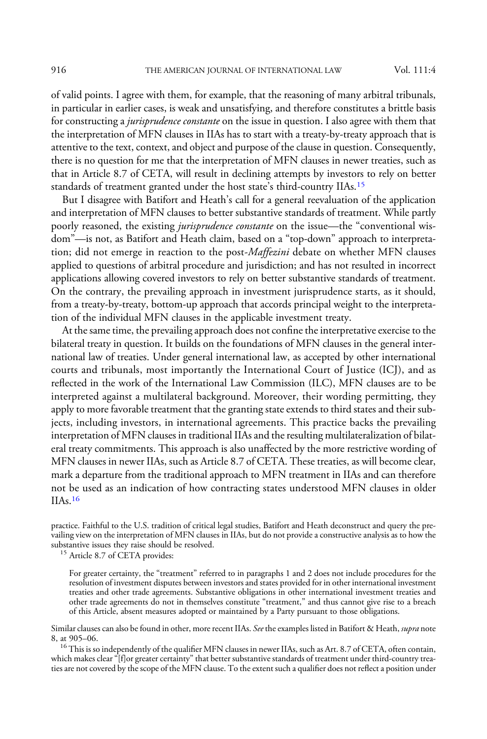of valid points. I agree with them, for example, that the reasoning of many arbitral tribunals, in particular in earlier cases, is weak and unsatisfying, and therefore constitutes a brittle basis for constructing a jurisprudence constante on the issue in question. I also agree with them that the interpretation of MFN clauses in IIAs has to start with a treaty-by-treaty approach that is attentive to the text, context, and object and purpose of the clause in question. Consequently, there is no question for me that the interpretation of MFN clauses in newer treaties, such as that in Article 8.7 of CETA, will result in declining attempts by investors to rely on better standards of treatment granted under the host state's third-country IIAs.<sup>15</sup>

But I disagree with Batifort and Heath's call for a general reevaluation of the application and interpretation of MFN clauses to better substantive standards of treatment. While partly poorly reasoned, the existing *jurisprudence constante* on the issue—the "conventional wisdom"—is not, as Batifort and Heath claim, based on a "top-down" approach to interpretation; did not emerge in reaction to the post-Maffezini debate on whether MFN clauses applied to questions of arbitral procedure and jurisdiction; and has not resulted in incorrect applications allowing covered investors to rely on better substantive standards of treatment. On the contrary, the prevailing approach in investment jurisprudence starts, as it should, from a treaty-by-treaty, bottom-up approach that accords principal weight to the interpretation of the individual MFN clauses in the applicable investment treaty.

At the same time, the prevailing approach does not confine the interpretative exercise to the bilateral treaty in question. It builds on the foundations of MFN clauses in the general international law of treaties. Under general international law, as accepted by other international courts and tribunals, most importantly the International Court of Justice (ICJ), and as reflected in the work of the International Law Commission (ILC), MFN clauses are to be interpreted against a multilateral background. Moreover, their wording permitting, they apply to more favorable treatment that the granting state extends to third states and their subjects, including investors, in international agreements. This practice backs the prevailing interpretation of MFN clauses in traditional IIAs and the resulting multilateralization of bilateral treaty commitments. This approach is also unaffected by the more restrictive wording of MFN clauses in newer IIAs, such as Article 8.7 of CETA. These treaties, as will become clear, mark a departure from the traditional approach to MFN treatment in IIAs and can therefore not be used as an indication of how contracting states understood MFN clauses in older  $IIAs.<sup>16</sup>$ 

practice. Faithful to the U.S. tradition of critical legal studies, Batifort and Heath deconstruct and query the prevailing view on the interpretation of MFN clauses in IIAs, but do not provide a constructive analysis as to how the substantive issues they raise should be resolved. <sup>15</sup> Article 8.7 of CETA provides:

For greater certainty, the "treatment" referred to in paragraphs 1 and 2 does not include procedures for the resolution of investment disputes between investors and states provided for in other international investment treaties and other trade agreements. Substantive obligations in other international investment treaties and other trade agreements do not in themselves constitute "treatment," and thus cannot give rise to a breach of this Article, absent measures adopted or maintained by a Party pursuant to those obligations.

Similar clauses can also be found in other, more recent IIAs. See the examples listed in Batifort & Heath, supra note 8, at 905–06.

 $^{16}$  This is so independently of the qualifier MFN clauses in newer IIAs, such as Art. 8.7 of CETA, often contain, which makes clear "[f]or greater certainty" that better substantive standards of treatment under third-country treaties are not covered by the scope of the MFN clause. To the extent such a qualifier does not reflect a position under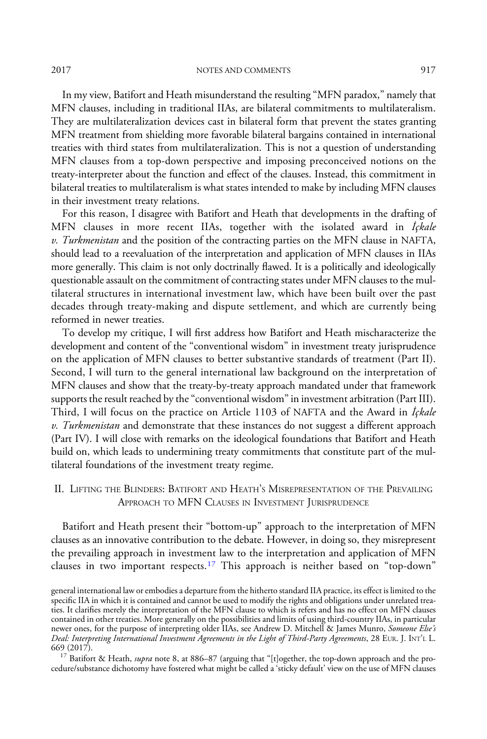#### 2017 NOTES AND COMMENTS 917

In my view, Batifort and Heath misunderstand the resulting "MFN paradox," namely that MFN clauses, including in traditional IIAs, are bilateral commitments to multilateralism. They are multilateralization devices cast in bilateral form that prevent the states granting MFN treatment from shielding more favorable bilateral bargains contained in international treaties with third states from multilateralization. This is not a question of understanding MFN clauses from a top-down perspective and imposing preconceived notions on the treaty-interpreter about the function and effect of the clauses. Instead, this commitment in bilateral treaties to multilateralism is what states intended to make by including MFN clauses in their investment treaty relations.

For this reason, I disagree with Batifort and Heath that developments in the drafting of MFN clauses in more recent IIAs, together with the isolated award in *İçkale*  $v.$  Turkmenistan and the position of the contracting parties on the MFN clause in NAFTA, should lead to a reevaluation of the interpretation and application of MFN clauses in IIAs more generally. This claim is not only doctrinally flawed. It is a politically and ideologically questionable assault on the commitment of contracting states under MFN clauses to the multilateral structures in international investment law, which have been built over the past decades through treaty-making and dispute settlement, and which are currently being reformed in newer treaties.

To develop my critique, I will first address how Batifort and Heath mischaracterize the development and content of the "conventional wisdom" in investment treaty jurisprudence on the application of MFN clauses to better substantive standards of treatment (Part II). Second, I will turn to the general international law background on the interpretation of MFN clauses and show that the treaty-by-treaty approach mandated under that framework supports the result reached by the "conventional wisdom" in investment arbitration (Part III). Third, I will focus on the practice on Article 1103 of NAFTA and the Award in İçkale v. Turkmenistan and demonstrate that these instances do not suggest a different approach (Part IV). I will close with remarks on the ideological foundations that Batifort and Heath build on, which leads to undermining treaty commitments that constitute part of the multilateral foundations of the investment treaty regime.

## II. LIFTING THE BLINDERS: BATIFORT AND HEATH'<sup>S</sup> MISREPRESENTATION OF THE PREVAILING APPROACH TO MFN CLAUSES IN INVESTMENT JURISPRUDENCE

Batifort and Heath present their "bottom-up" approach to the interpretation of MFN clauses as an innovative contribution to the debate. However, in doing so, they misrepresent the prevailing approach in investment law to the interpretation and application of MFN clauses in two important respects.<sup>17</sup> This approach is neither based on "top-down"

general international law or embodies a departure from the hitherto standard IIA practice, its effect is limited to the specific IIA in which it is contained and cannot be used to modify the rights and obligations under unrelated treaties. It clarifies merely the interpretation of the MFN clause to which is refers and has no effect on MFN clauses contained in other treaties. More generally on the possibilities and limits of using third-country IIAs, in particular newer ones, for the purpose of interpreting older IIAs, see Andrew D. Mitchell & James Munro, Someone Else's Deal: Interpreting International Investment Agreements in the Light of Third-Party Agreements, 28 EUR. J. INT'L L.<br>669 (2017).

<sup>&</sup>lt;sup>17</sup> Batifort & Heath, supra note 8, at 886–87 (arguing that "[t]ogether, the top-down approach and the procedure/substance dichotomy have fostered what might be called a 'sticky default' view on the use of MFN clauses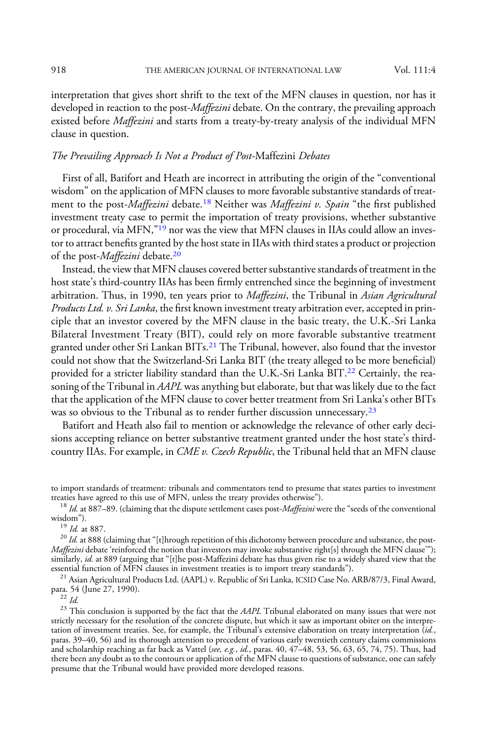interpretation that gives short shrift to the text of the MFN clauses in question, nor has it developed in reaction to the post-*Maffezini* debate. On the contrary, the prevailing approach existed before *Maffezini* and starts from a treaty-by-treaty analysis of the individual MFN clause in question.

## The Prevailing Approach Is Not a Product of Post-Maffezini Debates

First of all, Batifort and Heath are incorrect in attributing the origin of the "conventional wisdom" on the application of MFN clauses to more favorable substantive standards of treatment to the post-Maffezini debate.<sup>18</sup> Neither was Maffezini v. Spain "the first published investment treaty case to permit the importation of treaty provisions, whether substantive or procedural, via MFN,"<sup>19</sup> nor was the view that MFN clauses in IIAs could allow an investor to attract benefits granted by the host state in IIAs with third states a product or projection of the post-Maffezini debate.<sup>20</sup>

Instead, the view that MFN clauses covered better substantive standards of treatment in the host state's third-country IIAs has been firmly entrenched since the beginning of investment arbitration. Thus, in 1990, ten years prior to *Maffezini*, the Tribunal in Asian Agricultural Products Ltd. v. Sri Lanka, the first known investment treaty arbitration ever, accepted in principle that an investor covered by the MFN clause in the basic treaty, the U.K.-Sri Lanka Bilateral Investment Treaty (BIT), could rely on more favorable substantive treatment granted under other Sri Lankan BITs.<sup>21</sup> The Tribunal, however, also found that the investor could not show that the Switzerland-Sri Lanka BIT (the treaty alleged to be more beneficial) provided for a stricter liability standard than the U.K.-Sri Lanka BIT.22 Certainly, the reasoning of the Tribunal in AAPL was anything but elaborate, but that was likely due to the fact that the application of the MFN clause to cover better treatment from Sri Lanka's other BITs was so obvious to the Tribunal as to render further discussion unnecessary.<sup>23</sup>

Batifort and Heath also fail to mention or acknowledge the relevance of other early decisions accepting reliance on better substantive treatment granted under the host state's thirdcountry IIAs. For example, in *CME v. Czech Republic*, the Tribunal held that an MFN clause

to import standards of treatment: tribunals and commentators tend to presume that states parties to investment<br>treaties have agreed to this use of MFN, unless the treaty provides otherwise").

 $18$  Id. at 887–89. (claiming that the dispute settlement cases post-*Maffezini* were the "seeds of the conventional wisdom").

<sup>19</sup> Id. at 887. 20 Id. at 887. 20 Id. at 888 (claiming that "[t]hrough repetition of this dichotomy between procedure and substance, the post-Maffezini debate 'reinforced the notion that investors may invoke substantive right[s] through the MFN clause"); similarly, id. at 889 (arguing that "[t]he post-Maffezini debate has thus given rise to a widely shared view that the essential function of MFN clauses in investment treaties is to import treaty standards").

<sup>21</sup> Asian Agricultural Products Ltd. (AAPL) v. Republic of Sri Lanka, ICSID Case No. ARB/87/3, Final Award, para. 54 (June 27, 1990).

 $\frac{p}{22}$  *Id.* 23 This conclusion is supported by the fact that the *AAPL* Tribunal elaborated on many issues that were not strictly necessary for the resolution of the concrete dispute, but which it saw as important obiter on the interpretation of investment treaties. See, for example, the Tribunal's extensive elaboration on treaty interpretation (id., paras. 39–40, 56) and its thorough attention to precedent of various early twentieth century claims commissions and scholarship reaching as far back as Vattel (see, e.g., id., paras. 40, 47–48, 53, 56, 63, 65, 74, 75). Thus, had there been any doubt as to the contours or application of the MFN clause to questions of substance, one can safely presume that the Tribunal would have provided more developed reasons.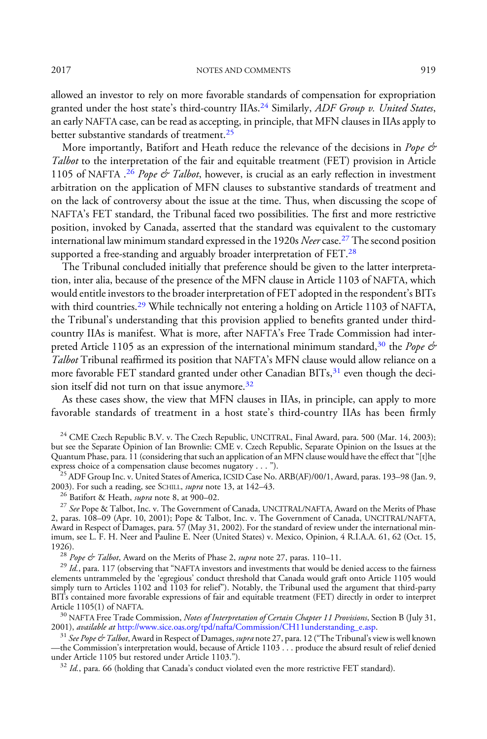allowed an investor to rely on more favorable standards of compensation for expropriation granted under the host state's third-country IIAs.<sup>24</sup> Similarly, ADF Group v. United States, an early NAFTA case, can be read as accepting, in principle, that MFN clauses in IIAs apply to

better substantive standards of treatment.<sup>25</sup> More importantly, Batifort and Heath reduce the relevance of the decisions in Pope  $\phi$ Talbot to the interpretation of the fair and equitable treatment (FET) provision in Article 1105 of NAFTA  $.26$  Pope & Talbot, however, is crucial as an early reflection in investment arbitration on the application of MFN clauses to substantive standards of treatment and on the lack of controversy about the issue at the time. Thus, when discussing the scope of NAFTA's FET standard, the Tribunal faced two possibilities. The first and more restrictive position, invoked by Canada, asserted that the standard was equivalent to the customary international law minimum standard expressed in the 1920s Neer case.<sup>27</sup> The second position

supported a free-standing and arguably broader interpretation of FET.<sup>28</sup>

The Tribunal concluded initially that preference should be given to the latter interpretation, inter alia, because of the presence of the MFN clause in Article 1103 of NAFTA, which would entitle investors to the broader interpretation of FET adopted in the respondent's BITs with third countries.<sup>29</sup> While technically not entering a holding on Article 1103 of NAFTA, the Tribunal's understanding that this provision applied to benefits granted under thirdcountry IIAs is manifest. What is more, after NAFTA's Free Trade Commission had interpreted Article 1105 as an expression of the international minimum standard,<sup>30</sup> the Pope  $\phi$ Talbot Tribunal reaffirmed its position that NAFTA's MFN clause would allow reliance on a more favorable FET standard granted under other Canadian BITs, $31$  even though the decision itself did not turn on that issue anymore.<sup>32</sup>

As these cases show, the view that MFN clauses in IIAs, in principle, can apply to more favorable standards of treatment in a host state's third-country IIAs has been firmly

<sup>24</sup> CME Czech Republic B.V. v. The Czech Republic, UNCITRAL, Final Award, para. 500 (Mar. 14, 2003); but see the Separate Opinion of Ian Brownlie: CME v. Czech Republic, Separate Opinion on the Issues at the Quantum Phase, para. 11 (considering that such an application of an MFN clause would have the effect that "[t]he express choice of a compensation clause becomes nugatory . . . ").

<sup>25</sup> ADF Group Inc. v. United States of America, ICSID Case No. ARB(AF)/00/1, Award, paras. 193–98 (Jan. 9, 2003). For such a reading, see SCHILL, *supra* note 13, at 142–43.

<sup>26</sup> Batifort & Heath, *supra* note 8, at 900–02.<br><sup>27</sup> See Pope & Talbot, Inc. v. The Government of Canada, UNCITRAL/NAFTA, Award on the Merits of Phase 2, paras. 108–09 (Apr. 10, 2001); Pope & Talbot, Inc. v. The Government of Canada, UNCITRAL/NAFTA, Award in Respect of Damages, para. 57 (May 31, 2002). For the standard of review under the international minimum, see L. F. H. Neer and Pauline E. Neer (United States) v. Mexico, Opinion, 4 R.I.A.A. 61, 62 (Oct. 15,

1926).<br><sup>28</sup> Pope & Talbot, Award on the Merits of Phase 2, *supra* note 27, paras. 110–11.<br><sup>29</sup> Id., para. 117 (observing that "NAFTA investors and investments that would be denied access to the fairness elements untrammeled by the 'egregious' conduct threshold that Canada would graft onto Article 1105 would simply turn to Articles 1102 and 1103 for relief"). Notably, the Tribunal used the argument that third-party BITs contained more favorable expressions of fair and equitable treatment (FET) directly in order to interpret<br>Article 1105(1) of NAFTA.

<sup>30</sup> NAFTA Free Trade Commission, *Notes of Interpretation of Certain Chapter 11 Provisions*, Section B (July 31, 2001), *available at* http://www.sice.oas.org/tpd/nafta/Commission/CH11understanding\_e.asp.

2001), *available at* [http://www.sice.oas.org/tpd/nafta/Commission/CH11understanding\\_e.asp.](http://www.sice.oas.org/tpd/nafta/Commission/CH11understanding_e.asp)<br><sup>31</sup> *See Pope & Talbot,* Award in Respect of Damages, *supra* note 27, para. 12 ("The Tribunal's view is well known —the Commission's interpretation would, because of Article 1103 . . . produce the absurd result of relief denied under Article 1105 but restored under Article 1103.").<br><sup>32</sup> Id., para. 66 (holding that Canada's conduct violated even the more restrictive FET standard).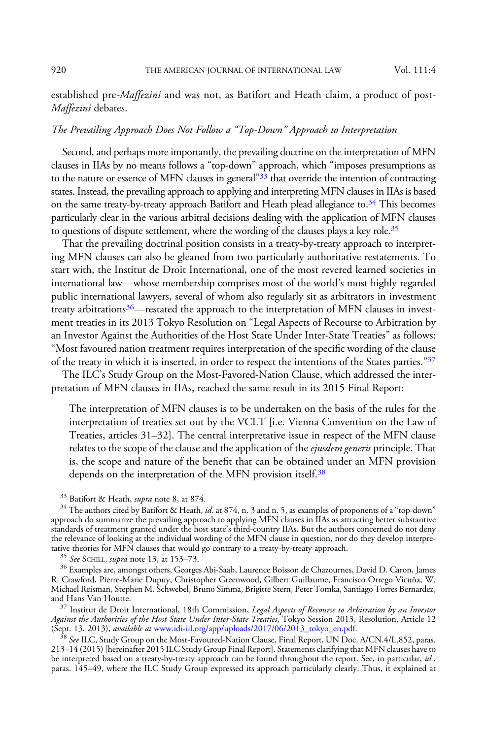established pre-*Maffezini* and was not, as Batifort and Heath claim, a product of post-Maffezini debates.

#### The Prevailing Approach Does Not Follow a "Top-Down" Approach to Interpretation

Second, and perhaps more importantly, the prevailing doctrine on the interpretation of MFN clauses in IIAs by no means follows a "top-down" approach, which "imposes presumptions as to the nature or essence of MFN clauses in general"<sup>33</sup> that override the intention of contracting states. Instead, the prevailing approach to applying and interpreting MFN clauses in IIAs is based on the same treaty-by-treaty approach Batifort and Heath plead allegiance to.<sup>34</sup> This becomes particularly clear in the various arbitral decisions dealing with the application of MFN clauses to questions of dispute settlement, where the wording of the clauses plays a key role.<sup>35</sup>

That the prevailing doctrinal position consists in a treaty-by-treaty approach to interpreting MFN clauses can also be gleaned from two particularly authoritative restatements. To start with, the Institut de Droit International, one of the most revered learned societies in international law—whose membership comprises most of the world's most highly regarded public international lawyers, several of whom also regularly sit as arbitrators in investment treaty arbitrations $36$ —restated the approach to the interpretation of MFN clauses in investment treaties in its 2013 Tokyo Resolution on "Legal Aspects of Recourse to Arbitration by an Investor Against the Authorities of the Host State Under Inter-State Treaties" as follows: "Most favoured nation treatment requires interpretation of the specific wording of the clause of the treaty in which it is inserted, in order to respect the intentions of the States parties."<sup>37</sup>

The ILC's Study Group on the Most-Favored-Nation Clause, which addressed the interpretation of MFN clauses in IIAs, reached the same result in its 2015 Final Report:

The interpretation of MFN clauses is to be undertaken on the basis of the rules for the interpretation of treaties set out by the VCLT [i.e. Vienna Convention on the Law of Treaties, articles 31–32]. The central interpretative issue in respect of the MFN clause relates to the scope of the clause and the application of the ejusdem generis principle. That is, the scope and nature of the benefit that can be obtained under an MFN provision depends on the interpretation of the MFN provision itself.<sup>38</sup>

 $34$  The authors cited by Batifort & Heath, id. at 874, n. 3 and n. 5, as examples of proponents of a "top-down" approach do summarize the prevailing approach to applying MFN clauses in IIAs as attracting better substantive standards of treatment granted under the host state's third-country IIAs. But the authors concerned do not deny the relevance of looking at the individual wording of the MFN clause in question, nor do they develop interpre-<br>tative theories for MFN clauses that would go contrary to a treaty-by-treaty approach.

<sup>35</sup> See SCHILL, *supra* note 13, at 153–73.<br><sup>36</sup> Examples are, amongst others, Georges Abi-Saab, Laurence Boisson de Chazournes, David D. Caron, James R. Crawford, Pierre-Marie Dupuy, Christopher Greenwood, Gilbert Guillaume, Francisco Orrego Vicuña, W. Michael Reisman, Stephen M. Schwebel, Bruno Simma, Brigitte Stern, Peter Tomka, Santiago Torres Bernardez,

and Hans Van Houtte.<br><sup>37</sup> Institut de Droit International, 18th Commission, *Legal Aspects of Recourse to Arbitration by an Investor* Against the Authorities of the Host State Under Inter-State Treaties, Tokyo Session 2013, Resolution, Article 12

(Sept. 13, 2013), *available at* [www.idi-iil.org/app/uploads/2017/06/2013\\_tokyo\\_en.pdf](http://www.idi-iil.org/app/uploads/2017/06/2013_tokyo_en.pdf).<br><sup>38</sup> *See* ILC, Study Group on the Most-Favoured-Nation Clause, Final Report, UN Doc. A/CN.4/L.852, paras. 213–14 (2015) [hereinafter 2015 ILC Study Group Final Report]. Statements clarifying that MFN clauses have to be interpreted based on a treaty-by-treaty approach can be found throughout the report. See, in particular, id., paras. 145–49, where the ILC Study Group expressed its approach particularly clearly. Thus, it explained at

<sup>&</sup>lt;sup>33</sup> Batifort & Heath, *supra* note 8, at 874.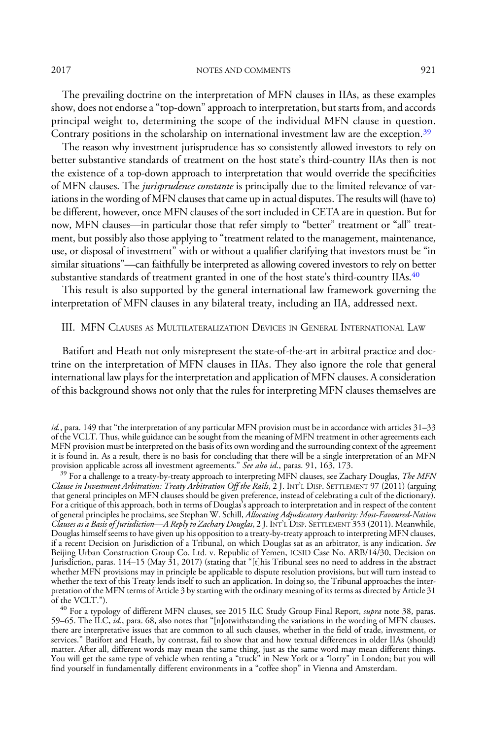2017 NOTES AND COMMENTS 921

The prevailing doctrine on the interpretation of MFN clauses in IIAs, as these examples show, does not endorse a"top-down"approach to interpretation, but starts from, and accords principal weight to, determining the scope of the individual MFN clause in question. Contrary positions in the scholarship on international investment law are the exception.<sup>39</sup>

The reason why investment jurisprudence has so consistently allowed investors to rely on better substantive standards of treatment on the host state's third-country IIAs then is not the existence of a top-down approach to interpretation that would override the specificities of MFN clauses. The jurisprudence constante is principally due to the limited relevance of variations in the wording of MFN clauses that came up in actual disputes. The results will (have to) be different, however, once MFN clauses of the sort included in CETA are in question. But for now, MFN clauses—in particular those that refer simply to "better" treatment or "all" treatment, but possibly also those applying to "treatment related to the management, maintenance, use, or disposal of investment" with or without a qualifier clarifying that investors must be "in similar situations"—can faithfully be interpreted as allowing covered investors to rely on better substantive standards of treatment granted in one of the host state's third-country IIAs.<sup>40</sup>

This result is also supported by the general international law framework governing the interpretation of MFN clauses in any bilateral treaty, including an IIA, addressed next.

### III. MFN CLAUSES AS MULTILATERALIZATION DEVICES IN GENERAL INTERNATIONAL LAW

Batifort and Heath not only misrepresent the state-of-the-art in arbitral practice and doctrine on the interpretation of MFN clauses in IIAs. They also ignore the role that general international law plays for the interpretation and application of MFN clauses. A consideration of this background shows not only that the rules for interpreting MFN clauses themselves are

 $^{39}$  For a challenge to a treaty-by-treaty approach to interpreting MFN clauses, see Zachary Douglas, The MFN Clause in Investment Arbitration: Treaty Arbitration Off the Rails, 2 J. INT'L DISP. SETTLEMENT 97 (2011) (arguing that general principles on MFN clauses should be given preference, instead of celebrating a cult of the dictionary). For a critique of this approach, both in terms of Douglas's approach to interpretation and in respect of the content of general principles he proclaims, see Stephan W. Schill, Allocating Adjudicatory Authority: Most-Favoured-Nation Clauses as a Basis of Jurisdiction—A Reply to Zachary Douglas, 2 J. INT'L DISP. SETTLEMENT 353 (2011). Meanwhile, Douglas himself seems to have given up his opposition to a treaty-by-treaty approach to interpreting MFN clauses, if a recent Decision on Jurisdiction of a Tribunal, on which Douglas sat as an arbitrator, is any indication. See Beijing Urban Construction Group Co. Ltd. v. Republic of Yemen, ICSID Case No. ARB/14/30, Decision on Jurisdiction, paras. 114–15 (May 31, 2017) (stating that "[t]his Tribunal sees no need to address in the abstract whether MFN provisions may in principle be applicable to dispute resolution provisions, but will turn instead to whether the text of this Treaty lends itself to such an application. In doing so, the Tribunal approaches the interpretation of the MFN terms of Article 3 by starting with the ordinary meaning of its terms as directed by Article 31

of the VCLT.").<br><sup>40</sup> For a typology of different MFN clauses, see 2015 ILC Study Group Final Report, *supra* note 38, paras. 59–65. The ILC, id., para. 68, also notes that "[n]otwithstanding the variations in the wording of MFN clauses, there are interpretative issues that are common to all such clauses, whether in the field of trade, investment, or services." Batifort and Heath, by contrast, fail to show that and how textual differences in older IIAs (should) matter. After all, different words may mean the same thing, just as the same word may mean different things. You will get the same type of vehicle when renting a "truck" in New York or a "lorry" in London; but you will find yourself in fundamentally different environments in a "coffee shop" in Vienna and Amsterdam.

id., para. 149 that "the interpretation of any particular MFN provision must be in accordance with articles 31–33 of the VCLT. Thus, while guidance can be sought from the meaning of MFN treatment in other agreements each MFN provision must be interpreted on the basis of its own wording and the surrounding context of the agreement it is found in. As a result, there is no basis for concluding that there will be a single interpretation of an MFN provision applicable across all investment agreements." See also id., paras. 91, 163, 173.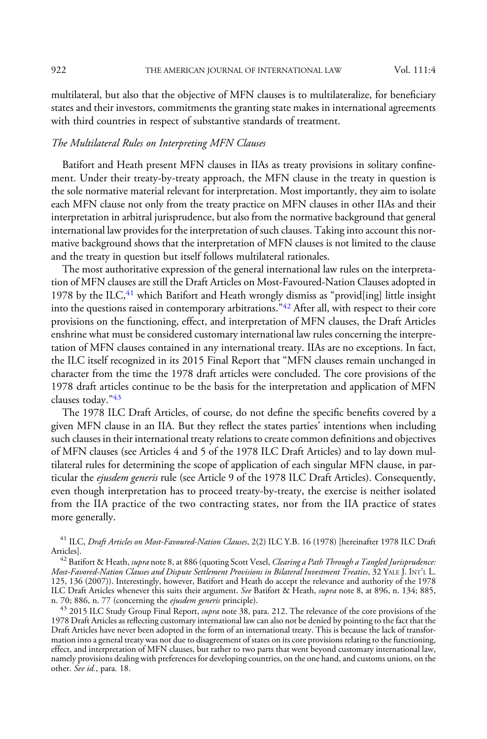multilateral, but also that the objective of MFN clauses is to multilateralize, for beneficiary states and their investors, commitments the granting state makes in international agreements with third countries in respect of substantive standards of treatment.

#### The Multilateral Rules on Interpreting MFN Clauses

Batifort and Heath present MFN clauses in IIAs as treaty provisions in solitary confinement. Under their treaty-by-treaty approach, the MFN clause in the treaty in question is the sole normative material relevant for interpretation. Most importantly, they aim to isolate each MFN clause not only from the treaty practice on MFN clauses in other IIAs and their interpretation in arbitral jurisprudence, but also from the normative background that general international law provides for the interpretation of such clauses. Taking into account this normative background shows that the interpretation of MFN clauses is not limited to the clause and the treaty in question but itself follows multilateral rationales.

The most authoritative expression of the general international law rules on the interpretation of MFN clauses are still the Draft Articles on Most-Favoured-Nation Clauses adopted in 1978 by the ILC, $41$  which Batifort and Heath wrongly dismiss as "provid[ing] little insight into the questions raised in contemporary arbitrations."<sup>42</sup> After all, with respect to their core provisions on the functioning, effect, and interpretation of MFN clauses, the Draft Articles enshrine what must be considered customary international law rules concerning the interpretation of MFN clauses contained in any international treaty. IIAs are no exceptions. In fact, the ILC itself recognized in its 2015 Final Report that "MFN clauses remain unchanged in character from the time the 1978 draft articles were concluded. The core provisions of the 1978 draft articles continue to be the basis for the interpretation and application of MFN clauses today."<sup>43</sup>

The 1978 ILC Draft Articles, of course, do not define the specific benefits covered by a given MFN clause in an IIA. But they reflect the states parties' intentions when including such clauses in their international treaty relations to create common definitions and objectives of MFN clauses (see Articles 4 and 5 of the 1978 ILC Draft Articles) and to lay down multilateral rules for determining the scope of application of each singular MFN clause, in particular the ejusdem generis rule (see Article 9 of the 1978 ILC Draft Articles). Consequently, even though interpretation has to proceed treaty-by-treaty, the exercise is neither isolated from the IIA practice of the two contracting states, nor from the IIA practice of states more generally.

<sup>41</sup> ILC, *Draft Articles on Most-Favoured-Nation Clauses*, 2(2) ILC Y.B. 16 (1978) [hereinafter 1978 ILC Draft Articles].

 $^{42}$  Batifort & Heath, supra note 8, at 886 (quoting Scott Vesel, Clearing a Path Through a Tangled Jurisprudence: Most-Favored-Nation Clauses and Dispute Settlement Provisions in Bilateral Investment Treaties, 32 YALE J. INT'<sup>L</sup> L. 125, 136 (2007)). Interestingly, however, Batifort and Heath do accept the relevance and authority of the 1978 ILC Draft Articles whenever this suits their argument. See Batifort & Heath, supra note 8, at 896, n. 134; 885, n. 70; 886, n. 77 (concerning the ejusdem generis principle).

<sup>43</sup> 2015 ILC Study Group Final Report, supra note 38, para. 212. The relevance of the core provisions of the 1978 Draft Articles as reflecting customary international law can also not be denied by pointing to the fact that the Draft Articles have never been adopted in the form of an international treaty. This is because the lack of transformation into a general treaty was not due to disagreement of states on its core provisions relating to the functioning, effect, and interpretation of MFN clauses, but rather to two parts that went beyond customary international law, namely provisions dealing with preferences for developing countries, on the one hand, and customs unions, on the other. See id., para. 18.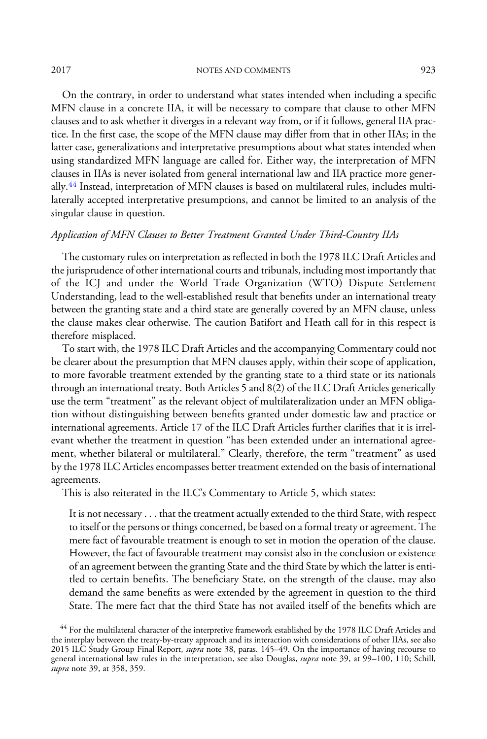2017 NOTES AND COMMENTS 923

On the contrary, in order to understand what states intended when including a specific MFN clause in a concrete IIA, it will be necessary to compare that clause to other MFN clauses and to ask whether it diverges in a relevant way from, or if it follows, general IIA practice. In the first case, the scope of the MFN clause may differ from that in other IIAs; in the latter case, generalizations and interpretative presumptions about what states intended when using standardized MFN language are called for. Either way, the interpretation of MFN clauses in IIAs is never isolated from general international law and IIA practice more generally.<sup>44</sup> Instead, interpretation of MFN clauses is based on multilateral rules, includes multilaterally accepted interpretative presumptions, and cannot be limited to an analysis of the singular clause in question.

## Application of MFN Clauses to Better Treatment Granted Under Third-Country IIAs

The customary rules on interpretation as reflected in both the 1978 ILC Draft Articles and the jurisprudence of other international courts and tribunals, including most importantly that of the ICJ and under the World Trade Organization (WTO) Dispute Settlement Understanding, lead to the well-established result that benefits under an international treaty between the granting state and a third state are generally covered by an MFN clause, unless the clause makes clear otherwise. The caution Batifort and Heath call for in this respect is therefore misplaced.

To start with, the 1978 ILC Draft Articles and the accompanying Commentary could not be clearer about the presumption that MFN clauses apply, within their scope of application, to more favorable treatment extended by the granting state to a third state or its nationals through an international treaty. Both Articles 5 and 8(2) of the ILC Draft Articles generically use the term "treatment" as the relevant object of multilateralization under an MFN obligation without distinguishing between benefits granted under domestic law and practice or international agreements. Article 17 of the ILC Draft Articles further clarifies that it is irrelevant whether the treatment in question "has been extended under an international agreement, whether bilateral or multilateral." Clearly, therefore, the term "treatment" as used by the 1978 ILC Articles encompasses better treatment extended on the basis of international agreements.

This is also reiterated in the ILC's Commentary to Article 5, which states:

It is not necessary . . . that the treatment actually extended to the third State, with respect to itself or the persons or things concerned, be based on a formal treaty or agreement. The mere fact of favourable treatment is enough to set in motion the operation of the clause. However, the fact of favourable treatment may consist also in the conclusion or existence of an agreement between the granting State and the third State by which the latter is entitled to certain benefits. The beneficiary State, on the strength of the clause, may also demand the same benefits as were extended by the agreement in question to the third State. The mere fact that the third State has not availed itself of the benefits which are

<sup>&</sup>lt;sup>44</sup> For the multilateral character of the interpretive framework established by the 1978 ILC Draft Articles and the interplay between the treaty-by-treaty approach and its interaction with considerations of other IIAs, see also 2015 ILC Study Group Final Report, supra note 38, paras. 145–49. On the importance of having recourse to general international law rules in the interpretation, see also Douglas, supra note 39, at 99–100, 110; Schill, supra note 39, at 358, 359.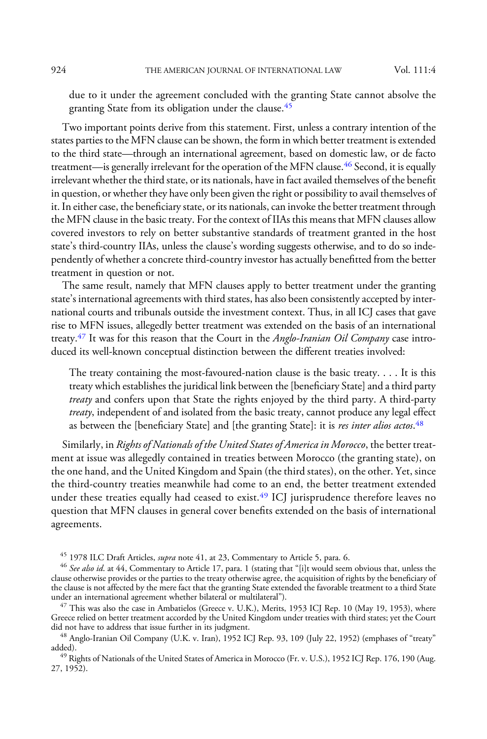due to it under the agreement concluded with the granting State cannot absolve the granting State from its obligation under the clause.<sup>45</sup>

Two important points derive from this statement. First, unless a contrary intention of the states parties to the MFN clause can be shown, the form in which better treatment is extended to the third state—through an international agreement, based on domestic law, or de facto treatment—is generally irrelevant for the operation of the MFN clause.<sup>46</sup> Second, it is equally irrelevant whether the third state, or its nationals, have in fact availed themselves of the benefit in question, or whether they have only been given the right or possibility to avail themselves of it. In either case, the beneficiary state, or its nationals, can invoke the better treatment through the MFN clause in the basic treaty. For the context of IIAs this means that MFN clauses allow covered investors to rely on better substantive standards of treatment granted in the host state's third-country IIAs, unless the clause's wording suggests otherwise, and to do so independently of whether a concrete third-country investor has actually benefitted from the better treatment in question or not.

The same result, namely that MFN clauses apply to better treatment under the granting state's international agreements with third states, has also been consistently accepted by international courts and tribunals outside the investment context. Thus, in all ICJ cases that gave rise to MFN issues, allegedly better treatment was extended on the basis of an international treaty.<sup>47</sup> It was for this reason that the Court in the *Anglo-Iranian Oil Company* case introduced its well-known conceptual distinction between the different treaties involved:

The treaty containing the most-favoured-nation clause is the basic treaty. . . . It is this treaty which establishes the juridical link between the [beneficiary State] and a third party treaty and confers upon that State the rights enjoyed by the third party. A third-party treaty, independent of and isolated from the basic treaty, cannot produce any legal effect as between the [beneficiary State] and [the granting State]: it is res inter alios actos.<sup>48</sup>

Similarly, in Rights of Nationals of the United States of America in Morocco, the better treatment at issue was allegedly contained in treaties between Morocco (the granting state), on the one hand, and the United Kingdom and Spain (the third states), on the other. Yet, since the third-country treaties meanwhile had come to an end, the better treatment extended under these treaties equally had ceased to exist.<sup>49</sup> ICJ jurisprudence therefore leaves no question that MFN clauses in general cover benefits extended on the basis of international agreements.

 $47$  This was also the case in Ambatielos (Greece v. U.K.), Merits, 1953 ICJ Rep. 10 (May 19, 1953), where Greece relied on better treatment accorded by the United Kingdom under treaties with third states; yet the Court did not have to address that issue further in its judgment.<br><sup>48</sup> Anglo-Iranian Oil Company (U.K. v. Iran), 1952 ICJ Rep. 93, 109 (July 22, 1952) (emphases of "treaty"

added).

<sup>49</sup> Rights of Nationals of the United States of America in Morocco (Fr. v. U.S.), 1952 ICJ Rep. 176, 190 (Aug. 27, 1952).

<sup>&</sup>lt;sup>45</sup> 1978 ILC Draft Articles, *supra* note 41, at 23, Commentary to Article 5, para. 6.<br><sup>46</sup> See also id. at 44, Commentary to Article 17, para. 1 (stating that "[i]t would seem obvious that, unless the clause otherwise provides or the parties to the treaty otherwise agree, the acquisition of rights by the beneficiary of the clause is not affected by the mere fact that the granting State extended the favorable treatment to a third State under an international agreement whether bilateral or multilateral").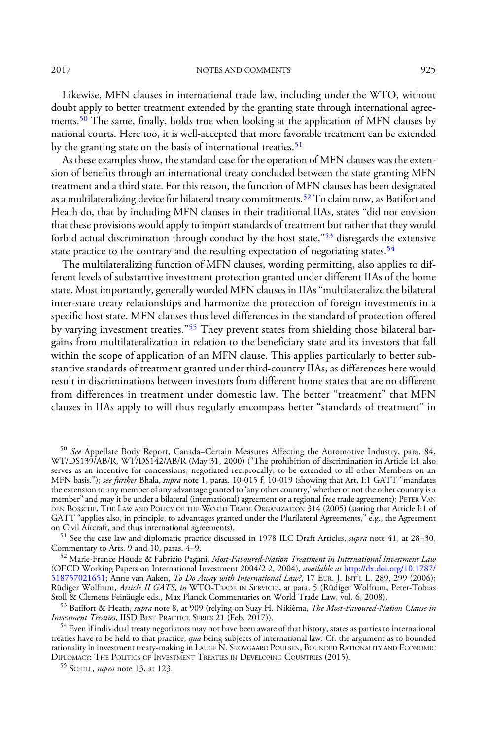#### 2017 NOTES AND COMMENTS 925

Likewise, MFN clauses in international trade law, including under the WTO, without doubt apply to better treatment extended by the granting state through international agreements.<sup>50</sup> The same, finally, holds true when looking at the application of MFN clauses by national courts. Here too, it is well-accepted that more favorable treatment can be extended by the granting state on the basis of international treaties.<sup>51</sup>

As these examples show, the standard case for the operation of MFN clauses was the extension of benefits through an international treaty concluded between the state granting MFN treatment and a third state. For this reason, the function of MFN clauses has been designated as a multilateralizing device for bilateral treaty commitments.<sup>52</sup> To claim now, as Batifort and Heath do, that by including MFN clauses in their traditional IIAs, states "did not envision that these provisions would apply to import standards of treatment but rather that they would forbid actual discrimination through conduct by the host state,"<sup>53</sup> disregards the extensive state practice to the contrary and the resulting expectation of negotiating states.<sup>54</sup>

The multilateralizing function of MFN clauses, wording permitting, also applies to different levels of substantive investment protection granted under different IIAs of the home state. Most importantly, generally worded MFN clauses in IIAs"multilateralize the bilateral inter-state treaty relationships and harmonize the protection of foreign investments in a specific host state. MFN clauses thus level differences in the standard of protection offered by varying investment treaties."<sup>55</sup> They prevent states from shielding those bilateral bargains from multilateralization in relation to the beneficiary state and its investors that fall within the scope of application of an MFN clause. This applies particularly to better substantive standards of treatment granted under third-country IIAs, as differences here would result in discriminations between investors from different home states that are no different from differences in treatment under domestic law. The better "treatment" that MFN clauses in IIAs apply to will thus regularly encompass better "standards of treatment" in

<sup>51</sup> See the case law and diplomatic practice discussed in 1978 ILC Draft Articles, *supra* note 41, at 28–30, Commentary to Arts. 9 and 10, paras. 4–9.

 $52$  Marie-France Houde & Fabrizio Pagani, Most-Favoured-Nation Treatment in International Investment Law (OECD Working Papers on International Investment 2004/2 2, 2004), available at [http://dx.doi.org/10.1787/](http://dx.doi.org/10.1787/518757021651) [518757021651](http://dx.doi.org/10.1787/518757021651); Anne van Aaken, *To Do Away with International Law?*, 17 EUR. J. INT'L L. 289, 299 (2006); Rüdiger Wolfrum, *Article II GATS, in* WTO-Trade in Services, at para. 5 (Rüdiger Wolfrum, Peter-Tobias Stoll & Clemens Feinäugle eds., Max Planck Commentaries on World Trade Law, vol. 6, 2008).<br><sup>53</sup> Batifort & Heath, *supra* note 8, at 909 (relying on Suzy H. Nikièma, *The Most-Favoured-Nation Clause in* 

Investment Treaties, IISD BEST PRACTICE SERIES 21 (Feb. 2017)).

<sup>54</sup> Even if individual treaty negotiators may not have been aware of that history, states as parties to international treaties have to be held to that practice, qua being subjects of international law. Cf. the argument as to bounded rationality in investment treaty-making in LAUGE N. SKOVGAARD POULSEN, BOUNDED RATIONALITY AND ECONOMIC DIPLOMACY: THE POLITICS OF INVESTMENT TREATIES IN DEVELOPING COUNTRIES (2015).<br><sup>55</sup> SCHILL, *supra* note 13, at 123.

<sup>&</sup>lt;sup>50</sup> See Appellate Body Report, Canada–Certain Measures Affecting the Automotive Industry, para. 84, WT/DS139/AB/R, WT/DS142/AB/R (May 31, 2000) ("The prohibition of discrimination in Article I:1 also serves as an incentive for concessions, negotiated reciprocally, to be extended to all other Members on an MFN basis."); see further Bhala, supra note 1, paras. 10-015 f, 10-019 (showing that Art. I:1 GATT "mandates the extension to any member of any advantage granted to 'any other country,' whether or not the other country is a member" and may it be under a bilateral (international) agreement or a regional free trade agreement); PETER VAN DEN BOSSCHE, THE LAW AND POLICY OF THE WORLD TRADE ORGANIZATION 314 (2005) (stating that Article I:1 of GATT "applies also, in principle, to advantages granted under the Plurilateral Agreements," e.g., the Agreement on Civil Aircraft, and thus international agreements).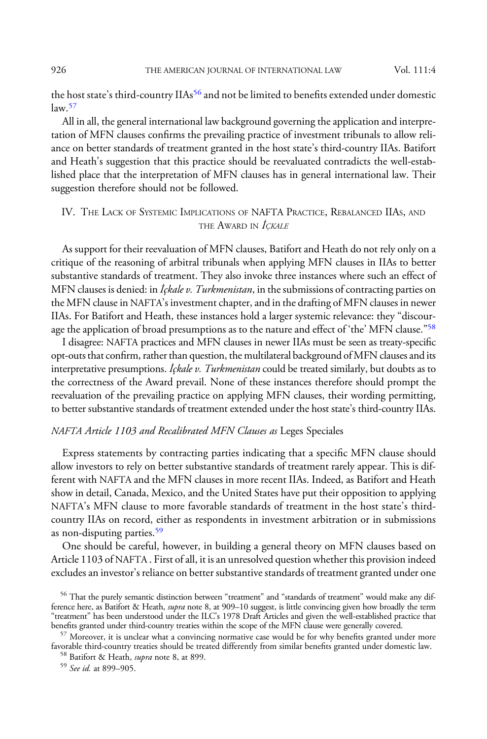the host state's third-country IIAs<sup>56</sup> and not be limited to benefits extended under domestic  $law<sub>57</sub>$ 

All in all, the general international law background governing the application and interpretation of MFN clauses confirms the prevailing practice of investment tribunals to allow reliance on better standards of treatment granted in the host state's third-country IIAs. Batifort and Heath's suggestion that this practice should be reevaluated contradicts the well-established place that the interpretation of MFN clauses has in general international law. Their suggestion therefore should not be followed.

### IV. THE LACK OF SYSTEMIC IMPLICATIONS OF NAFTA PRACTICE, REBALANCED IIAS, AND THE AWARD IN *İCKALE*

As support for their reevaluation of MFN clauses, Batifort and Heath do not rely only on a critique of the reasoning of arbitral tribunals when applying MFN clauses in IIAs to better substantive standards of treatment. They also invoke three instances where such an effect of MFN clauses is denied: in  $\hat{I}_{\hat{c}}$ *kale v. Turkmenistan*, in the submissions of contracting parties on the MFN clause in NAFTA's investment chapter, and in the drafting of MFN clauses in newer IIAs. For Batifort and Heath, these instances hold a larger systemic relevance: they "discourage the application of broad presumptions as to the nature and effect of 'the' MFN clause."<sup>58</sup>

I disagree: NAFTA practices and MFN clauses in newer IIAs must be seen as treaty-specific opt-outs that confirm, rather than question, the multilateral background of MFN clauses and its interpretative presumptions. *İçkale v. Turkmenistan* could be treated similarly, but doubts as to the correctness of the Award prevail. None of these instances therefore should prompt the reevaluation of the prevailing practice on applying MFN clauses, their wording permitting, to better substantive standards of treatment extended under the host state's third-country IIAs.

#### NAFTA Article 1103 and Recalibrated MFN Clauses as Leges Speciales

Express statements by contracting parties indicating that a specific MFN clause should allow investors to rely on better substantive standards of treatment rarely appear. This is different with NAFTA and the MFN clauses in more recent IIAs. Indeed, as Batifort and Heath show in detail, Canada, Mexico, and the United States have put their opposition to applying NAFTA's MFN clause to more favorable standards of treatment in the host state's thirdcountry IIAs on record, either as respondents in investment arbitration or in submissions as non-disputing parties.<sup>59</sup>

One should be careful, however, in building a general theory on MFN clauses based on Article 1103 of NAFTA . First of all, it is an unresolved question whether this provision indeed excludes an investor's reliance on better substantive standards of treatment granted under one

<sup>&</sup>lt;sup>56</sup> That the purely semantic distinction between "treatment" and "standards of treatment" would make any difference here, as Batifort & Heath, *supra* note 8, at 909–10 suggest, is little convincing given how broadly the term "treatment" has been understood under the ILC's 1978 Draft Articles and given the well-established practice that benefits granted under third-country treaties within the scope of the MFN clause were generally covered.<br><sup>57</sup> Moreover, it is unclear what a convincing normative case would be for why benefits granted under more

favorable third-country treaties should be treated differently from similar benefits granted under domestic law.<br><sup>58</sup> Batifort & Heath, *supra* note 8, at 899.<br><sup>59</sup> See id. at 899–905.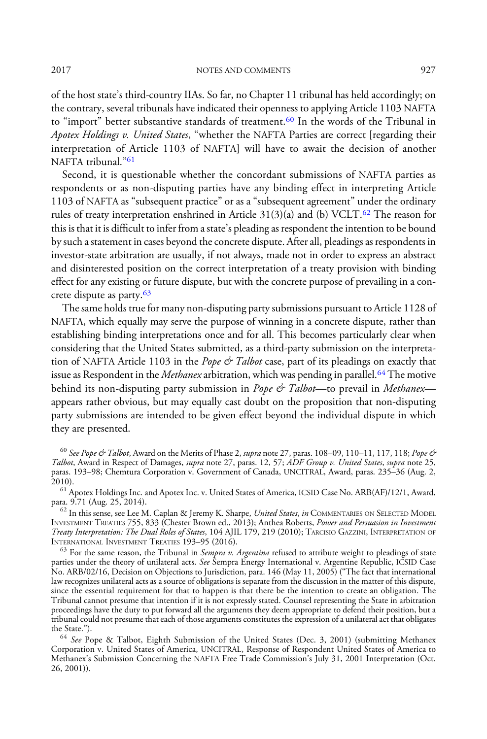of the host state's third-country IIAs. So far, no Chapter 11 tribunal has held accordingly; on the contrary, several tribunals have indicated their openness to applying Article 1103 NAFTA to "import" better substantive standards of treatment.<sup>60</sup> In the words of the Tribunal in Apotex Holdings v. United States, "whether the NAFTA Parties are correct [regarding their interpretation of Article 1103 of NAFTA] will have to await the decision of another NAFTA tribunal."<sup>61</sup>

Second, it is questionable whether the concordant submissions of NAFTA parties as respondents or as non-disputing parties have any binding effect in interpreting Article 1103 of NAFTA as "subsequent practice" or as a "subsequent agreement" under the ordinary rules of treaty interpretation enshrined in Article  $31(3)(a)$  and (b) VCLT.<sup>62</sup> The reason for this is that it is difficult to infer from a state's pleading as respondent the intention to be bound by such a statement in cases beyond the concrete dispute. After all, pleadings as respondents in investor-state arbitration are usually, if not always, made not in order to express an abstract and disinterested position on the correct interpretation of a treaty provision with binding effect for any existing or future dispute, but with the concrete purpose of prevailing in a concrete dispute as party.<sup>63</sup>

The same holds true for many non-disputing party submissions pursuant to Article 1128 of NAFTA, which equally may serve the purpose of winning in a concrete dispute, rather than establishing binding interpretations once and for all. This becomes particularly clear when considering that the United States submitted, as a third-party submission on the interpretation of NAFTA Article 1103 in the Pope  $\mathcal O$  Talbot case, part of its pleadings on exactly that issue as Respondent in the Methanex arbitration, which was pending in parallel.<sup>64</sup> The motive behind its non-disputing party submission in Pope  $\mathscr O$  Talbot—to prevail in Methanex appears rather obvious, but may equally cast doubt on the proposition that non-disputing party submissions are intended to be given effect beyond the individual dispute in which they are presented.

 $^{60}$  See Pope & Talbot, Award on the Merits of Phase 2, supra note 27, paras. 108–09, 110–11, 117, 118; Pope & Talbot, Award in Respect of Damages, supra note 27, paras. 12, 57; ADF Group v. United States, supra note 25, paras. 193–98; Chemtura Corporation v. Government of Canada, UNCITRAL, Award, paras. 235–36 (Aug. 2,

<sup>61</sup> Apotex Holdings Inc. and Apotex Inc. v. United States of America, ICSID Case No. ARB(AF)/12/1, Award, para. 9.71 (Aug. 25, 2014).

 $^{62}$  In this sense, see Lee M. Caplan & Jeremy K. Sharpe, *United States, in* COMMENTARIES ON SELECTED MODEL INVESTMENT TREATIES 755, 833 (Chester Brown ed., 2013); Anthea Roberts, Power and Persuasion in Investment Treaty Interpretation: The Dual Roles of States, 104 AJIL 179, 219 (2010); TARCISIO GAZZINI, INTERPRETATION OF INTERNATIONAL INVESTMENT TREATIES 193–95 (2016).<br><sup>63</sup> For the same reason, the Tribunal in *Sempra v. Argentina* refused to attribute weight to pleadings of state

parties under the theory of unilateral acts. See Sempra Energy International v. Argentine Republic, ICSID Case No. ARB/02/16, Decision on Objections to Jurisdiction, para. 146 (May 11, 2005) ("The fact that international law recognizes unilateral acts as a source of obligations is separate from the discussion in the matter of this dispute, since the essential requirement for that to happen is that there be the intention to create an obligation. The Tribunal cannot presume that intention if it is not expressly stated. Counsel representing the State in arbitration proceedings have the duty to put forward all the arguments they deem appropriate to defend their position, but a tribunal could not presume that each of those arguments constitutes the expression of a unilateral act that obligates

the State.").<br><sup>64</sup> *See* Pope & Talbot, Eighth Submission of the United States (Dec. 3, 2001) (submitting Methanex Corporation v. United States of America, UNCITRAL, Response of Respondent United States of America to Methanex's Submission Concerning the NAFTA Free Trade Commission's July 31, 2001 Interpretation (Oct. 26, 2001)).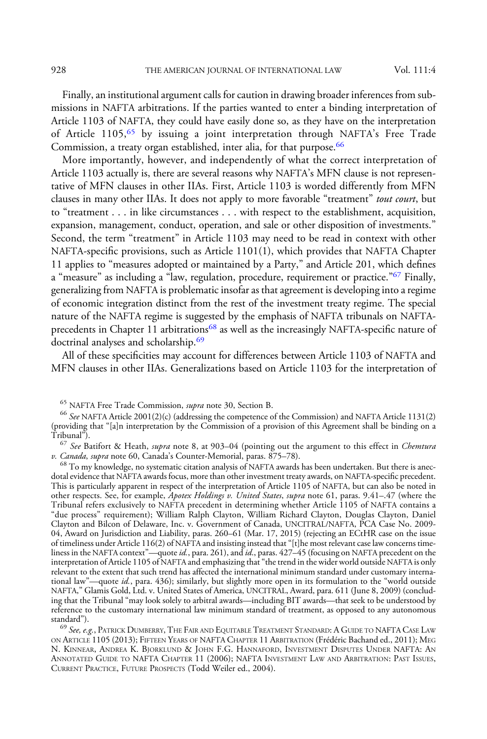Finally, an institutional argument calls for caution in drawing broader inferences from submissions in NAFTA arbitrations. If the parties wanted to enter a binding interpretation of Article 1103 of NAFTA, they could have easily done so, as they have on the interpretation of Article 1105,<sup>65</sup> by issuing a joint interpretation through NAFTA's Free Trade Commission, a treaty organ established, inter alia, for that purpose.<sup>66</sup>

More importantly, however, and independently of what the correct interpretation of Article 1103 actually is, there are several reasons why NAFTA's MFN clause is not representative of MFN clauses in other IIAs. First, Article 1103 is worded differently from MFN clauses in many other IIAs. It does not apply to more favorable "treatment" tout court, but to "treatment . . . in like circumstances . . . with respect to the establishment, acquisition, expansion, management, conduct, operation, and sale or other disposition of investments." Second, the term "treatment" in Article 1103 may need to be read in context with other NAFTA-specific provisions, such as Article 1101(1), which provides that NAFTA Chapter 11 applies to "measures adopted or maintained by a Party," and Article 201, which defines a "measure" as including a "law, regulation, procedure, requirement or practice."<sup>67</sup> Finally, generalizing from NAFTA is problematic insofar as that agreement is developing into a regime of economic integration distinct from the rest of the investment treaty regime. The special nature of the NAFTA regime is suggested by the emphasis of NAFTA tribunals on NAFTAprecedents in Chapter 11 arbitrations<sup>68</sup> as well as the increasingly NAFTA-specific nature of doctrinal analyses and scholarship.<sup>69</sup>

All of these specificities may account for differences between Article 1103 of NAFTA and MFN clauses in other IIAs. Generalizations based on Article 1103 for the interpretation of

 $^{69}$  See, e.g., PATRICK DUMBERRY, THE FAIR AND EQUITABLE TREATMENT STANDARD: A GUIDE TO NAFTA CASE LAW ON ARTICLE 1105 (2013); FIFTEEN YEARS OF NAFTA CHAPTER 11 ARBITRATION (Frédéric Bachand ed., 2011); MEG N. KINNEAR, ANDREA K. BJORKLUND & JOHN F.G. HANNAFORD, INVESTMENT DISPUTES UNDER NAFTA: AN ANNOTATED GUIDE TO NAFTA CHAPTER 11 (2006); NAFTA INVESTMENT LAW AND ARBITRATION: PAST ISSUES, CURRENT PRACTICE, FUTURE PROSPECTS (Todd Weiler ed., 2004).

<sup>&</sup>lt;sup>65</sup> NAFTA Free Trade Commission, *supra* note 30, Section B.<br><sup>66</sup> See NAFTA Article 2001(2)(c) (addressing the competence of the Commission) and NAFTA Article 1131(2) (providing that "[a]n interpretation by the Commission of a provision of this Agreement shall be binding on a Tribunal").

<sup>&</sup>lt;sup>67</sup> See Batifort & Heath, supra note 8, at 903–04 (pointing out the argument to this effect in *Chemtura* v. *Canada, supra* note 60, Canada's Counter-Memorial, paras. 875–78).

 $^{68}$  To my knowledge, no systematic citation analysis of NAFTA awards has been undertaken. But there is anecdotal evidence that NAFTA awards focus, more than other investment treaty awards, on NAFTA-specific precedent. This is particularly apparent in respect of the interpretation of Article 1105 of NAFTA, but can also be noted in other respects. See, for example, Apotex Holdings v. United States, supra note 61, paras. 9.41-.47 (where the Tribunal refers exclusively to NAFTA precedent in determining whether Article 1105 of NAFTA contains a "due process" requirement); William Ralph Clayton, William Richard Clayton, Douglas Clayton, Daniel Clayton and Bilcon of Delaware, Inc. v. Government of Canada, UNCITRAL/NAFTA, PCA Case No. 2009- 04, Award on Jurisdiction and Liability, paras. 260–61 (Mar. 17, 2015) (rejecting an ECtHR case on the issue of timeliness under Article 116(2) of NAFTA and insisting instead that"[t]he most relevant case law concerns timeliness in the NAFTA context"—quote  $id.$ , para. 261), and  $id.$ , paras. 427–45 (focusing on NAFTA precedent on the interpretation of Article 1105 of NAFTA and emphasizing that"the trend in the wider world outside NAFTA is only relevant to the extent that such trend has affected the international minimum standard under customary international law"—quote id., para. 436); similarly, but slightly more open in its formulation to the "world outside NAFTA," Glamis Gold, Ltd. v. United States of America, UNCITRAL, Award, para. 611 (June 8, 2009) (concluding that the Tribunal "may look solely to arbitral awards—including BIT awards—that seek to be understood by reference to the customary international law minimum standard of treatment, as opposed to any autonomous standard").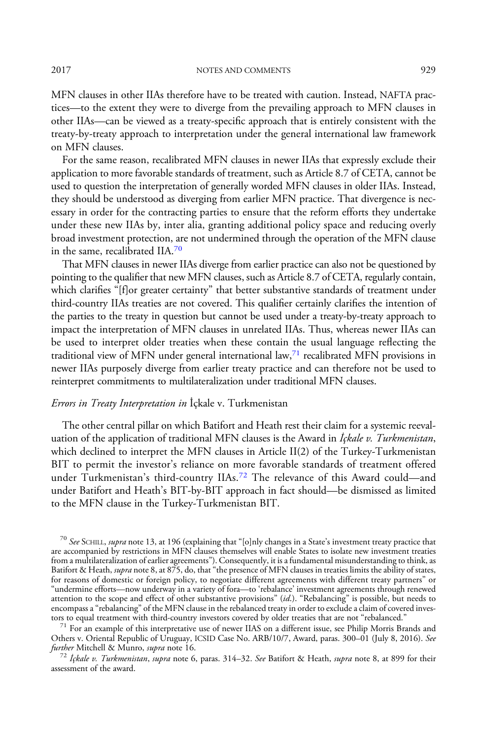MFN clauses in other IIAs therefore have to be treated with caution. Instead, NAFTA practices—to the extent they were to diverge from the prevailing approach to MFN clauses in other IIAs—can be viewed as a treaty-specific approach that is entirely consistent with the treaty-by-treaty approach to interpretation under the general international law framework on MFN clauses.

For the same reason, recalibrated MFN clauses in newer IIAs that expressly exclude their application to more favorable standards of treatment, such as Article 8.7 of CETA, cannot be used to question the interpretation of generally worded MFN clauses in older IIAs. Instead, they should be understood as diverging from earlier MFN practice. That divergence is necessary in order for the contracting parties to ensure that the reform efforts they undertake under these new IIAs by, inter alia, granting additional policy space and reducing overly broad investment protection, are not undermined through the operation of the MFN clause in the same, recalibrated IIA.<sup>70</sup>

That MFN clauses in newer IIAs diverge from earlier practice can also not be questioned by pointing to the qualifier that new MFN clauses, such as Article 8.7 of CETA, regularly contain, which clarifies "[f]or greater certainty" that better substantive standards of treatment under third-country IIAs treaties are not covered. This qualifier certainly clarifies the intention of the parties to the treaty in question but cannot be used under a treaty-by-treaty approach to impact the interpretation of MFN clauses in unrelated IIAs. Thus, whereas newer IIAs can be used to interpret older treaties when these contain the usual language reflecting the traditional view of MFN under general international law, $7<sup>1</sup>$  recalibrated MFN provisions in newer IIAs purposely diverge from earlier treaty practice and can therefore not be used to reinterpret commitments to multilateralization under traditional MFN clauses.

#### Errors in Treaty Interpretation in İçkale v. Turkmenistan

The other central pillar on which Batifort and Heath rest their claim for a systemic reevaluation of the application of traditional MFN clauses is the Award in  $\hat{I}$ *ckale v. Turkmenistan*, which declined to interpret the MFN clauses in Article II(2) of the Turkey-Turkmenistan BIT to permit the investor's reliance on more favorable standards of treatment offered under Turkmenistan's third-country IIAs.<sup>72</sup> The relevance of this Award could—and under Batifort and Heath's BIT-by-BIT approach in fact should—be dismissed as limited to the MFN clause in the Turkey-Turkmenistan BIT.

<sup>70</sup> See SCHILL, supra note 13, at 196 (explaining that "[o]nly changes in a State's investment treaty practice that are accompanied by restrictions in MFN clauses themselves will enable States to isolate new investment treaties from a multilateralization of earlier agreements"). Consequently, it is a fundamental misunderstanding to think, as Batifort & Heath, supra note 8, at  $875$ , do, that "the presence of MFN clauses in treaties limits the ability of states, for reasons of domestic or foreign policy, to negotiate different agreements with different treaty partners" or "undermine efforts—now underway in a variety of fora—to 'rebalance' investment agreements through renewed attention to the scope and effect of other substantive provisions" (id.). "Rebalancing" is possible, but needs to encompass a "rebalancing" of the MFN clause in the rebalanced treaty in order to exclude a claim of covered inves-<br>tors to equal treatment with third-country investors covered by older treaties that are not "rebalanced."

 $7<sup>1</sup>$  For an example of this interpretative use of newer IIAS on a different issue, see Philip Morris Brands and Others v. Oriental Republic of Uruguay, ICSID Case No. ARB/10/7, Award, paras. 300–01 (July 8, 2016). See further Mitchell & Munro, supra note 16.

<sup>72</sup> İçkale v. Turkmenistan, supra note 6, paras. 314–32. See Batifort & Heath, supra note 8, at 899 for their assessment of the award.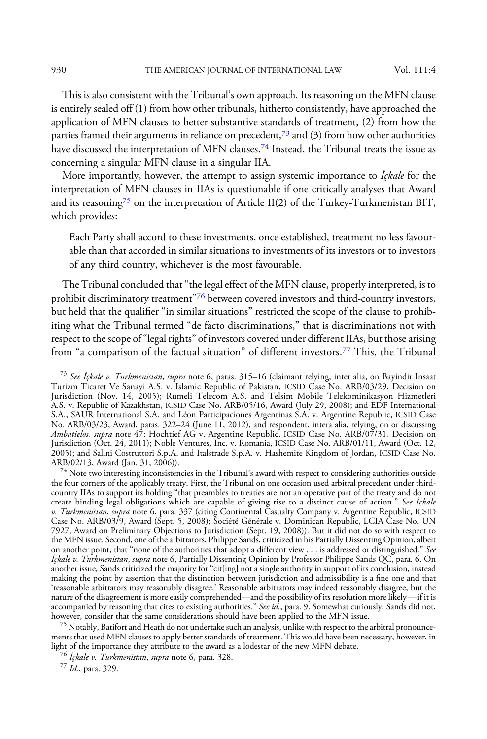This is also consistent with the Tribunal's own approach. Its reasoning on the MFN clause is entirely sealed off (1) from how other tribunals, hitherto consistently, have approached the application of MFN clauses to better substantive standards of treatment, (2) from how the

parties framed their arguments in reliance on precedent,<sup>73</sup> and (3) from how other authorities have discussed the interpretation of MFN clauses.<sup>74</sup> Instead, the Tribunal treats the issue as concerning a singular MFN clause in a singular IIA.

More importantly, however, the attempt to assign systemic importance to *İçkale* for the interpretation of MFN clauses in IIAs is questionable if one critically analyses that Award and its reasoning<sup>75</sup> on the interpretation of Article II(2) of the Turkey-Turkmenistan BIT, which provides:

Each Party shall accord to these investments, once established, treatment no less favourable than that accorded in similar situations to investments of its investors or to investors of any third country, whichever is the most favourable.

The Tribunal concluded that "the legal effect of the MFN clause, properly interpreted, is to prohibit discriminatory treatment"<sup>76</sup> between covered investors and third-country investors, but held that the qualifier "in similar situations" restricted the scope of the clause to prohibiting what the Tribunal termed "de facto discriminations," that is discriminations not with respect to the scope of"legal rights" of investors covered under different IIAs, but those arising from "a comparison of the factual situation" of different investors.<sup>77</sup> This, the Tribunal

<sup>73</sup> See İçkale v. *Turkmenistan, supra* note 6, paras. 315–16 (claimant relying, inter alia, on Bayindir Insaat Turizm Ticaret Ve Sanayi A.S. v. Islamic Republic of Pakistan, ICSID Case No. ARB/03/29, Decision on Jurisdiction (Nov. 14, 2005); Rumeli Telecom A.S. and Telsim Mobile Telekominikasyon Hizmetleri A.S. v. Republic of Kazakhstan, ICSID Case No. ARB/05/16, Award (July 29, 2008); and EDF International S.A., SAUR International S.A. and Léon Participaciones Argentinas S.A. v. Argentine Republic, ICSID Case No. ARB/03/23, Award, paras. 322–24 (June 11, 2012), and respondent, intera alia, relying, on or discussing Ambatielos, supra note 47; Hochtief AG v. Argentine Republic, ICSID Case No. ARB/07/31, Decision on Jurisdiction (Oct. 24, 2011); Noble Ventures, Inc. v. Romania, ICSID Case No. ARB/01/11, Award (Oct. 12, 2005); and Salini Costruttori S.p.A. and Italstrade S.p.A. v. Hashemite Kingdom of Jordan, ICSID Case No. ARB/02/13, Award (Jan. 31, 2006)).

<sup>74</sup> Note two interesting inconsistencies in the Tribunal's award with respect to considering authorities outside the four corners of the applicably treaty. First, the Tribunal on one occasion used arbitral precedent under thirdcountry IIAs to support its holding "that preambles to treaties are not an operative part of the treaty and do not create binding legal obligations which are capable of giving rise to a distinct cause of action." See İçkale v. *Turkmenistan, supra* note 6, para. 337 (citing Continental Casualty Company v. Argentine Republic, ICSID Case No. ARB/03/9, Award (Sept. 5, 2008); Société Générale v. Dominican Republic, LCIA Case No. UN 7927, Award on Preliminary Objections to Jurisdiction (Sept. 19, 2008)). But it did not do so with respect to the MFN issue. Second, one of the arbitrators, Philippe Sands, criticized in his Partially Dissenting Opinion, albeit on another point, that "none of the authorities that adopt a different view . . . is addressed or distinguished." See İçkale v. Turkmenistan, supra note 6, Partially Dissenting Opinion by Professor Philippe Sands QC, para. 6. On another issue, Sands criticized the majority for "cit[ing] not a single authority in support of its conclusion, instead making the point by assertion that the distinction between jurisdiction and admissibility is a fine one and that 'reasonable arbitrators may reasonably disagree.' Reasonable arbitrators may indeed reasonably disagree, but the nature of the disagreement is more easily comprehended—and the possibility of its resolution more likely —if it is accompanied by reasoning that cites to existing authorities." See id., para. 9. Somewhat curiously, Sands did not,

however, consider that the same considerations should have been applied to the MFN issue.<br><sup>75</sup> Notably, Batifort and Heath do not undertake such an analysis, unlike with respect to the arbitral pronouncements that used MFN clauses to apply better standards of treatment. This would have been necessary, however, in light of the importance they attribute to the award as a lodestar of the new MFN debate.

<sup>76</sup> İçkale v. Turkmenistan, supra note 6, para. 328.<br><sup>77</sup> Id., para. 329.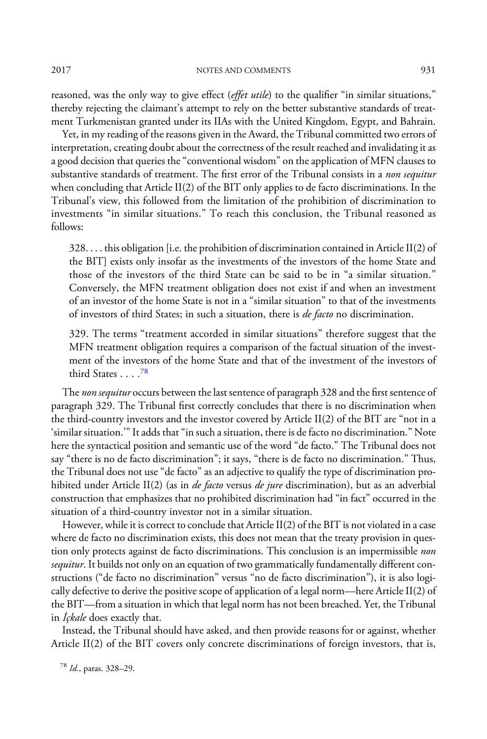reasoned, was the only way to give effect (effet utile) to the qualifier "in similar situations," thereby rejecting the claimant's attempt to rely on the better substantive standards of treatment Turkmenistan granted under its IIAs with the United Kingdom, Egypt, and Bahrain.

Yet, in my reading of the reasons given in the Award, the Tribunal committed two errors of interpretation, creating doubt about the correctness of the result reached and invalidating it as a good decision that queries the"conventional wisdom" on the application of MFN clauses to substantive standards of treatment. The first error of the Tribunal consists in a non sequitur when concluding that Article II(2) of the BIT only applies to de facto discriminations. In the Tribunal's view, this followed from the limitation of the prohibition of discrimination to investments "in similar situations." To reach this conclusion, the Tribunal reasoned as follows:

328. . . . this obligation [i.e. the prohibition of discrimination contained in Article II(2) of the BIT] exists only insofar as the investments of the investors of the home State and those of the investors of the third State can be said to be in "a similar situation." Conversely, the MFN treatment obligation does not exist if and when an investment of an investor of the home State is not in a "similar situation" to that of the investments of investors of third States; in such a situation, there is de facto no discrimination.

329. The terms "treatment accorded in similar situations" therefore suggest that the MFN treatment obligation requires a comparison of the factual situation of the investment of the investors of the home State and that of the investment of the investors of third States ....78

The non sequitur occurs between the last sentence of paragraph 328 and the first sentence of paragraph 329. The Tribunal first correctly concludes that there is no discrimination when the third-country investors and the investor covered by Article II(2) of the BIT are "not in a 'similar situation.'"It adds that"in such a situation, there is de facto no discrimination." Note here the syntactical position and semantic use of the word "de facto." The Tribunal does not say "there is no de facto discrimination"; it says, "there is de facto no discrimination." Thus, the Tribunal does not use "de facto" as an adjective to qualify the type of discrimination prohibited under Article II(2) (as in *de facto versus de jure* discrimination), but as an adverbial construction that emphasizes that no prohibited discrimination had "in fact" occurred in the situation of a third-country investor not in a similar situation.

However, while it is correct to conclude that Article II(2) of the BIT is not violated in a case where de facto no discrimination exists, this does not mean that the treaty provision in question only protects against de facto discriminations. This conclusion is an impermissible non sequitur. It builds not only on an equation of two grammatically fundamentally different constructions ("de facto no discrimination" versus "no de facto discrimination"), it is also logically defective to derive the positive scope of application of a legal norm—here Article II(2) of the BIT—from a situation in which that legal norm has not been breached. Yet, the Tribunal in *İçkale* does exactly that.

Instead, the Tribunal should have asked, and then provide reasons for or against, whether Article II(2) of the BIT covers only concrete discriminations of foreign investors, that is,

<sup>78</sup> Id., paras. 328–29.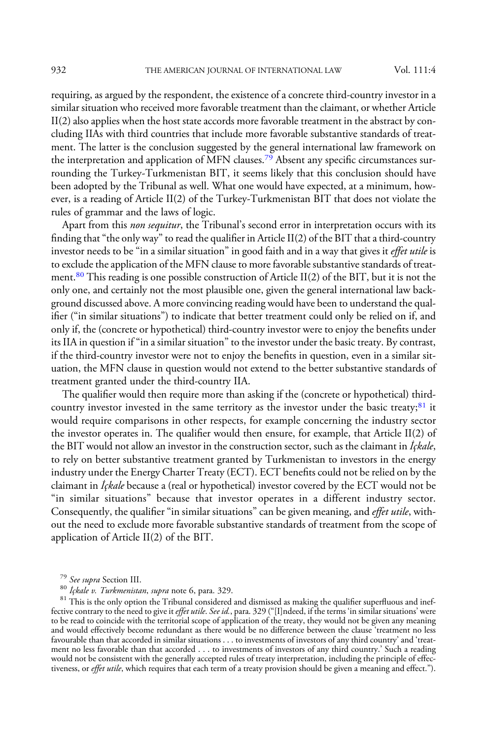requiring, as argued by the respondent, the existence of a concrete third-country investor in a similar situation who received more favorable treatment than the claimant, or whether Article II(2) also applies when the host state accords more favorable treatment in the abstract by concluding IIAs with third countries that include more favorable substantive standards of treatment. The latter is the conclusion suggested by the general international law framework on the interpretation and application of MFN clauses.<sup>79</sup> Absent any specific circumstances surrounding the Turkey-Turkmenistan BIT, it seems likely that this conclusion should have been adopted by the Tribunal as well. What one would have expected, at a minimum, however, is a reading of Article II(2) of the Turkey-Turkmenistan BIT that does not violate the rules of grammar and the laws of logic.

Apart from this non sequitur, the Tribunal's second error in interpretation occurs with its finding that "the only way" to read the qualifier in Article II(2) of the BIT that a third-country investor needs to be "in a similar situation" in good faith and in a way that gives it *effet utile* is to exclude the application of the MFN clause to more favorable substantive standards of treatment.<sup>80</sup> This reading is one possible construction of Article II(2) of the BIT, but it is not the only one, and certainly not the most plausible one, given the general international law background discussed above. A more convincing reading would have been to understand the qualifier ("in similar situations") to indicate that better treatment could only be relied on if, and only if, the (concrete or hypothetical) third-country investor were to enjoy the benefits under its IIA in question if "in a similar situation" to the investor under the basic treaty. By contrast, if the third-country investor were not to enjoy the benefits in question, even in a similar situation, the MFN clause in question would not extend to the better substantive standards of treatment granted under the third-country IIA.

The qualifier would then require more than asking if the (concrete or hypothetical) thirdcountry investor invested in the same territory as the investor under the basic treaty; $81$  it would require comparisons in other respects, for example concerning the industry sector the investor operates in. The qualifier would then ensure, for example, that Article II(2) of the BIT would not allow an investor in the construction sector, such as the claimant in  $\hat{I}_\text{c}$ *kale*, to rely on better substantive treatment granted by Turkmenistan to investors in the energy industry under the Energy Charter Treaty (ECT). ECT benefits could not be relied on by the claimant in İçkale because a (real or hypothetical) investor covered by the ECT would not be "in similar situations" because that investor operates in a different industry sector. Consequently, the qualifier "in similar situations" can be given meaning, and effet utile, without the need to exclude more favorable substantive standards of treatment from the scope of application of Article II(2) of the BIT.

<sup>79</sup> See supra Section III.<br><sup>80</sup> İçkale v. *Turkmenistan, supra* note 6, para. 329.<br><sup>81</sup> This is the only option the Tribunal considered and dismissed as making the qualifier superfluous and ineffective contrary to the need to give it *effet utile. See id*., para. 329 ("[I]ndeed, if the terms 'in similar situations' were to be read to coincide with the territorial scope of application of the treaty, they would not be given any meaning and would effectively become redundant as there would be no difference between the clause 'treatment no less favourable than that accorded in similar situations . . . to investments of investors of any third country' and 'treatment no less favorable than that accorded . . . to investments of investors of any third country.' Such a reading would not be consistent with the generally accepted rules of treaty interpretation, including the principle of effectiveness, or effet utile, which requires that each term of a treaty provision should be given a meaning and effect.").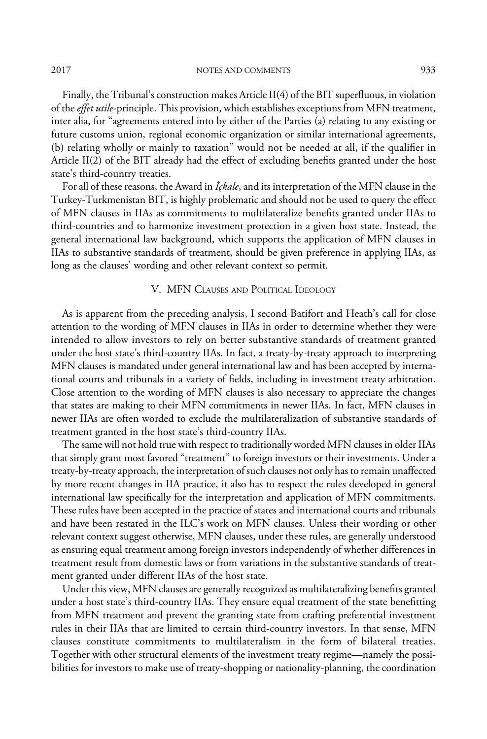Finally, the Tribunal's construction makes Article II(4) of the BIT superfluous, in violation of the effet utile-principle. This provision, which establishes exceptions from MFN treatment, inter alia, for "agreements entered into by either of the Parties (a) relating to any existing or future customs union, regional economic organization or similar international agreements, (b) relating wholly or mainly to taxation" would not be needed at all, if the qualifier in Article II(2) of the BIT already had the effect of excluding benefits granted under the host state's third-country treaties.

For all of these reasons, the Award in  $\dot{I}$ ckale, and its interpretation of the MFN clause in the Turkey-Turkmenistan BIT, is highly problematic and should not be used to query the effect of MFN clauses in IIAs as commitments to multilateralize benefits granted under IIAs to third-countries and to harmonize investment protection in a given host state. Instead, the general international law background, which supports the application of MFN clauses in IIAs to substantive standards of treatment, should be given preference in applying IIAs, as long as the clauses' wording and other relevant context so permit.

## V. MFN CLAUSES AND POLITICAL IDEOLOGY

As is apparent from the preceding analysis, I second Batifort and Heath's call for close attention to the wording of MFN clauses in IIAs in order to determine whether they were intended to allow investors to rely on better substantive standards of treatment granted under the host state's third-country IIAs. In fact, a treaty-by-treaty approach to interpreting MFN clauses is mandated under general international law and has been accepted by international courts and tribunals in a variety of fields, including in investment treaty arbitration. Close attention to the wording of MFN clauses is also necessary to appreciate the changes that states are making to their MFN commitments in newer IIAs. In fact, MFN clauses in newer IIAs are often worded to exclude the multilateralization of substantive standards of treatment granted in the host state's third-country IIAs.

The same will not hold true with respect to traditionally worded MFN clauses in older IIAs that simply grant most favored "treatment" to foreign investors or their investments. Under a treaty-by-treaty approach, the interpretation of such clauses not only has to remain unaffected by more recent changes in IIA practice, it also has to respect the rules developed in general international law specifically for the interpretation and application of MFN commitments. These rules have been accepted in the practice of states and international courts and tribunals and have been restated in the ILC's work on MFN clauses. Unless their wording or other relevant context suggest otherwise, MFN clauses, under these rules, are generally understood as ensuring equal treatment among foreign investors independently of whether differences in treatment result from domestic laws or from variations in the substantive standards of treatment granted under different IIAs of the host state.

Under this view, MFN clauses are generally recognized as multilateralizing benefits granted under a host state's third-country IIAs. They ensure equal treatment of the state benefitting from MFN treatment and prevent the granting state from crafting preferential investment rules in their IIAs that are limited to certain third-country investors. In that sense, MFN clauses constitute commitments to multilateralism in the form of bilateral treaties. Together with other structural elements of the investment treaty regime—namely the possibilities for investors to make use of treaty-shopping or nationality-planning, the coordination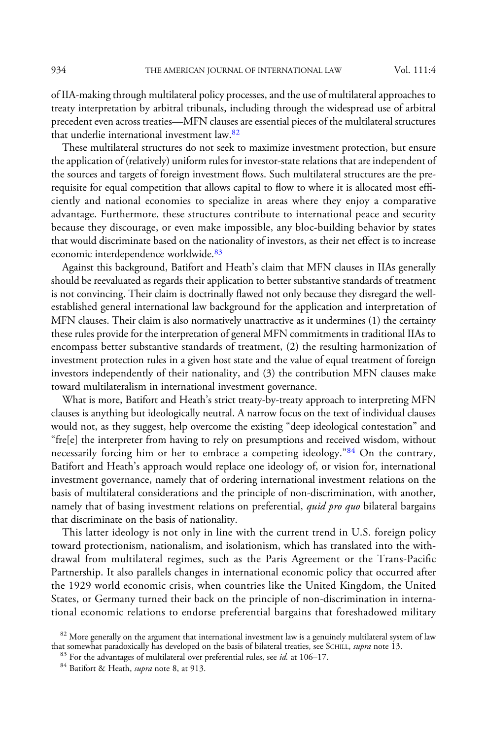of IIA-making through multilateral policy processes, and the use of multilateral approaches to treaty interpretation by arbitral tribunals, including through the widespread use of arbitral precedent even across treaties—MFN clauses are essential pieces of the multilateral structures that underlie international investment law.<sup>82</sup>

These multilateral structures do not seek to maximize investment protection, but ensure the application of (relatively) uniform rules for investor-state relations that are independent of the sources and targets of foreign investment flows. Such multilateral structures are the prerequisite for equal competition that allows capital to flow to where it is allocated most efficiently and national economies to specialize in areas where they enjoy a comparative advantage. Furthermore, these structures contribute to international peace and security because they discourage, or even make impossible, any bloc-building behavior by states that would discriminate based on the nationality of investors, as their net effect is to increase economic interdependence worldwide.<sup>83</sup>

Against this background, Batifort and Heath's claim that MFN clauses in IIAs generally should be reevaluated as regards their application to better substantive standards of treatment is not convincing. Their claim is doctrinally flawed not only because they disregard the wellestablished general international law background for the application and interpretation of MFN clauses. Their claim is also normatively unattractive as it undermines (1) the certainty these rules provide for the interpretation of general MFN commitments in traditional IIAs to encompass better substantive standards of treatment, (2) the resulting harmonization of investment protection rules in a given host state and the value of equal treatment of foreign investors independently of their nationality, and (3) the contribution MFN clauses make toward multilateralism in international investment governance.

What is more, Batifort and Heath's strict treaty-by-treaty approach to interpreting MFN clauses is anything but ideologically neutral. A narrow focus on the text of individual clauses would not, as they suggest, help overcome the existing "deep ideological contestation" and "fre[e] the interpreter from having to rely on presumptions and received wisdom, without necessarily forcing him or her to embrace a competing ideology."<sup>84</sup> On the contrary, Batifort and Heath's approach would replace one ideology of, or vision for, international investment governance, namely that of ordering international investment relations on the basis of multilateral considerations and the principle of non-discrimination, with another, namely that of basing investment relations on preferential, *quid pro quo* bilateral bargains that discriminate on the basis of nationality.

This latter ideology is not only in line with the current trend in U.S. foreign policy toward protectionism, nationalism, and isolationism, which has translated into the withdrawal from multilateral regimes, such as the Paris Agreement or the Trans-Pacific Partnership. It also parallels changes in international economic policy that occurred after the 1929 world economic crisis, when countries like the United Kingdom, the United States, or Germany turned their back on the principle of non-discrimination in international economic relations to endorse preferential bargains that foreshadowed military

 $82$  More generally on the argument that international investment law is a genuinely multilateral system of law that somewhat paradoxically has developed on the basis of bilateral treaties, see SCHILL, *supra* note 13.<br><sup>83</sup> For the advantages of multilateral over preferential rules, see *id.* at 106–17.<br><sup>84</sup> Batifort & Heath, *supra*